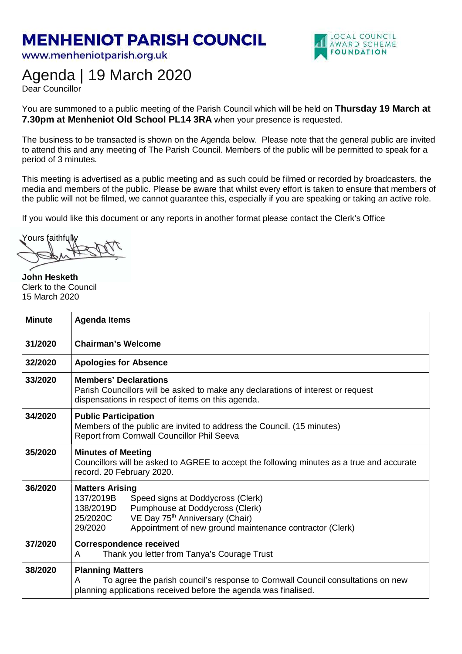## **MENHENIOT PARISH COUNCIL**

www.menheniotparish.org.uk



## Agenda | 19 March 2020

Dear Councillor

You are summoned to a public meeting of the Parish Council which will be held on **Thursday 19 March at 7.30pm at Menheniot Old School PL14 3RA** when your presence is requested.

The business to be transacted is shown on the Agenda below. Please note that the general public are invited to attend this and any meeting of The Parish Council. Members of the public will be permitted to speak for a period of 3 minutes.

This meeting is advertised as a public meeting and as such could be filmed or recorded by broadcasters, the media and members of the public. Please be aware that whilst every effort is taken to ensure that members of the public will not be filmed, we cannot guarantee this, especially if you are speaking or taking an active role.

If you would like this document or any reports in another format please contact the Clerk's Office

Yours faithfully

**John Hesketh**  Clerk to the Council 15 March 2020

| <b>Minute</b> | <b>Agenda Items</b>                                                                                                                                                                                                                                        |  |  |  |
|---------------|------------------------------------------------------------------------------------------------------------------------------------------------------------------------------------------------------------------------------------------------------------|--|--|--|
| 31/2020       | <b>Chairman's Welcome</b>                                                                                                                                                                                                                                  |  |  |  |
| 32/2020       | <b>Apologies for Absence</b>                                                                                                                                                                                                                               |  |  |  |
| 33/2020       | <b>Members' Declarations</b><br>Parish Councillors will be asked to make any declarations of interest or request<br>dispensations in respect of items on this agenda.                                                                                      |  |  |  |
| 34/2020       | <b>Public Participation</b><br>Members of the public are invited to address the Council. (15 minutes)<br>Report from Cornwall Councillor Phil Seeva                                                                                                        |  |  |  |
| 35/2020       | <b>Minutes of Meeting</b><br>Councillors will be asked to AGREE to accept the following minutes as a true and accurate<br>record. 20 February 2020.                                                                                                        |  |  |  |
| 36/2020       | <b>Matters Arising</b><br>137/2019B<br>Speed signs at Doddycross (Clerk)<br>Pumphouse at Doddycross (Clerk)<br>138/2019D<br>VE Day 75 <sup>th</sup> Anniversary (Chair)<br>25/2020C<br>Appointment of new ground maintenance contractor (Clerk)<br>29/2020 |  |  |  |
| 37/2020       | <b>Correspondence received</b><br>Thank you letter from Tanya's Courage Trust<br>A                                                                                                                                                                         |  |  |  |
| 38/2020       | <b>Planning Matters</b><br>To agree the parish council's response to Cornwall Council consultations on new<br>A<br>planning applications received before the agenda was finalised.                                                                         |  |  |  |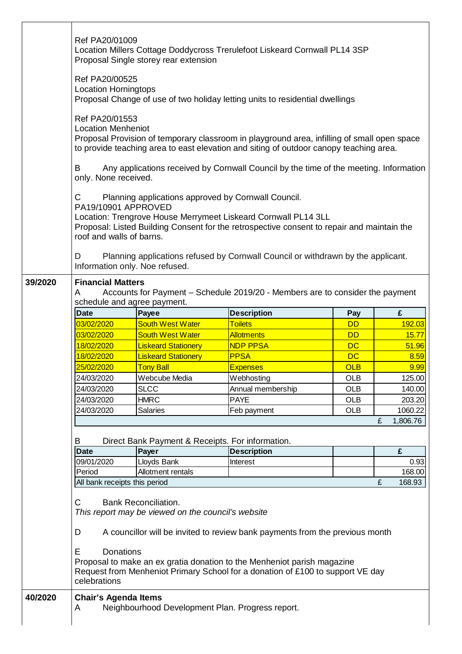|         | Ref PA20/01009<br>Ref PA20/00525<br><b>Location Horningtops</b><br>Ref PA20/01553<br><b>Location Menheniot</b><br>B<br>only. None received.<br>C<br>PA19/10901 APPROVED<br>roof and walls of barns.<br>D | Proposal Single storey rear extension<br>Planning applications approved by Cornwall Council. | Location Millers Cottage Doddycross Trerulefoot Liskeard Cornwall PL14 3SP<br>Proposal Change of use of two holiday letting units to residential dwellings<br>Proposal Provision of temporary classroom in playground area, infilling of small open space<br>to provide teaching area to east elevation and siting of outdoor canopy teaching area.<br>Any applications received by Cornwall Council by the time of the meeting. Information<br>Location: Trengrove House Merrymeet Liskeard Cornwall PL14 3LL<br>Proposal: Listed Building Consent for the retrospective consent to repair and maintain the<br>Planning applications refused by Cornwall Council or withdrawn by the applicant. |            |               |  |
|---------|----------------------------------------------------------------------------------------------------------------------------------------------------------------------------------------------------------|----------------------------------------------------------------------------------------------|--------------------------------------------------------------------------------------------------------------------------------------------------------------------------------------------------------------------------------------------------------------------------------------------------------------------------------------------------------------------------------------------------------------------------------------------------------------------------------------------------------------------------------------------------------------------------------------------------------------------------------------------------------------------------------------------------|------------|---------------|--|
| 39/2020 | Information only. Noe refused.                                                                                                                                                                           |                                                                                              |                                                                                                                                                                                                                                                                                                                                                                                                                                                                                                                                                                                                                                                                                                  |            |               |  |
|         | <b>Financial Matters</b><br>Accounts for Payment - Schedule 2019/20 - Members are to consider the payment<br>A<br>schedule and agree payment.                                                            |                                                                                              |                                                                                                                                                                                                                                                                                                                                                                                                                                                                                                                                                                                                                                                                                                  |            |               |  |
|         | <b>Date</b>                                                                                                                                                                                              | Payee                                                                                        | <b>Description</b>                                                                                                                                                                                                                                                                                                                                                                                                                                                                                                                                                                                                                                                                               | Pay        | £             |  |
|         | 03/02/2020                                                                                                                                                                                               | <b>South West Water</b>                                                                      | <b>Toilets</b>                                                                                                                                                                                                                                                                                                                                                                                                                                                                                                                                                                                                                                                                                   | <b>DD</b>  | 192.03        |  |
|         | 03/02/2020                                                                                                                                                                                               | <b>South West Water</b>                                                                      | <b>Allotments</b>                                                                                                                                                                                                                                                                                                                                                                                                                                                                                                                                                                                                                                                                                | <b>DD</b>  | 15.77         |  |
|         | 18/02/2020                                                                                                                                                                                               | <b>Liskeard Stationery</b>                                                                   | <b>NDP PPSA</b>                                                                                                                                                                                                                                                                                                                                                                                                                                                                                                                                                                                                                                                                                  | <b>DC</b>  | 51.96         |  |
|         | 18/02/2020                                                                                                                                                                                               | <b>Liskeard Stationery</b>                                                                   | <b>PPSA</b>                                                                                                                                                                                                                                                                                                                                                                                                                                                                                                                                                                                                                                                                                      | <b>DC</b>  | 8.59          |  |
|         | 25/02/2020                                                                                                                                                                                               | <b>Tony Ball</b>                                                                             | <b>Expenses</b>                                                                                                                                                                                                                                                                                                                                                                                                                                                                                                                                                                                                                                                                                  | <b>OLB</b> | 9.99          |  |
|         | 24/03/2020                                                                                                                                                                                               | Webcube Media                                                                                | Webhosting                                                                                                                                                                                                                                                                                                                                                                                                                                                                                                                                                                                                                                                                                       | <b>OLB</b> | 125.00        |  |
|         | 24/03/2020                                                                                                                                                                                               | <b>SLCC</b>                                                                                  | Annual membership                                                                                                                                                                                                                                                                                                                                                                                                                                                                                                                                                                                                                                                                                | <b>OLB</b> | 140.00        |  |
|         | 24/03/2020                                                                                                                                                                                               | <b>HMRC</b>                                                                                  | <b>PAYE</b>                                                                                                                                                                                                                                                                                                                                                                                                                                                                                                                                                                                                                                                                                      | <b>OLB</b> | 203.20        |  |
|         | 24/03/2020                                                                                                                                                                                               | <b>Salaries</b>                                                                              | Feb payment                                                                                                                                                                                                                                                                                                                                                                                                                                                                                                                                                                                                                                                                                      | <b>OLB</b> | 1060.22       |  |
|         |                                                                                                                                                                                                          |                                                                                              |                                                                                                                                                                                                                                                                                                                                                                                                                                                                                                                                                                                                                                                                                                  |            | 1,806.76<br>£ |  |
|         |                                                                                                                                                                                                          |                                                                                              |                                                                                                                                                                                                                                                                                                                                                                                                                                                                                                                                                                                                                                                                                                  |            |               |  |
|         | B                                                                                                                                                                                                        | Direct Bank Payment & Receipts. For information.                                             |                                                                                                                                                                                                                                                                                                                                                                                                                                                                                                                                                                                                                                                                                                  |            |               |  |
|         | <b>Date</b>                                                                                                                                                                                              | Payer                                                                                        | <b>Description</b>                                                                                                                                                                                                                                                                                                                                                                                                                                                                                                                                                                                                                                                                               |            | £             |  |
|         | 09/01/2020                                                                                                                                                                                               | Lloyds Bank                                                                                  | Interest                                                                                                                                                                                                                                                                                                                                                                                                                                                                                                                                                                                                                                                                                         |            | 0.93          |  |
|         | Period                                                                                                                                                                                                   | Allotment rentals                                                                            |                                                                                                                                                                                                                                                                                                                                                                                                                                                                                                                                                                                                                                                                                                  |            | 168.00        |  |
|         | All bank receipts this period                                                                                                                                                                            |                                                                                              |                                                                                                                                                                                                                                                                                                                                                                                                                                                                                                                                                                                                                                                                                                  |            | £<br>168.93   |  |
|         | C<br>D<br>Е<br><b>Donations</b><br>celebrations                                                                                                                                                          | <b>Bank Reconciliation.</b><br>This report may be viewed on the council's website            | A councillor will be invited to review bank payments from the previous month<br>Proposal to make an ex gratia donation to the Menheniot parish magazine<br>Request from Menheniot Primary School for a donation of £100 to support VE day                                                                                                                                                                                                                                                                                                                                                                                                                                                        |            |               |  |
|         |                                                                                                                                                                                                          |                                                                                              |                                                                                                                                                                                                                                                                                                                                                                                                                                                                                                                                                                                                                                                                                                  |            |               |  |
| 40/2020 | <b>Chair's Agenda Items</b><br>A                                                                                                                                                                         | Neighbourhood Development Plan. Progress report.                                             |                                                                                                                                                                                                                                                                                                                                                                                                                                                                                                                                                                                                                                                                                                  |            |               |  |